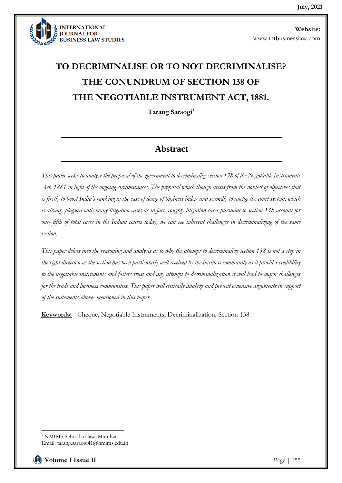

# **TO DECRIMINALISE OR TO NOT DECRIMINALISE? THE CONUNDRUM OF SECTION 138 OF THE NEGOTIABLE INSTRUMENT ACT, 1881.**

**Tarang Saraogi<sup>1</sup>**

# **Abstract**

*This paper seeks to analyse the proposal of the government to decriminalize section 138 of the Negotiable Instruments Act, 1881 in light of the ongoing circumstances. The proposal which though arises from the noblest of objectives that is firstly to boost India's ranking in the ease of doing of business index and secondly to unclog the court system, which is already plagued with many litigation cases as in fact, roughly litigation cases pursuant to section 138 account for one- fifth of total cases in the Indian courts today, we can see inherent challenges in decriminalizing of the same section.* 

*This paper delves into the reasoning and analysis as to why the attempt to decriminalize section 138 is not a step in the right direction as the section has been particularly well received by the business community as it provides credibility to the negotiable instruments and fosters trust and any attempt to decriminalization it will lead to major challenges for the trade and business communities. This paper will critically analyze and present extensive arguments in support of the statements above- mentioned in this paper.*

**Keywords:** - Cheque, Negotiable Instruments, Decriminalization, Section 138.

<sup>1</sup> NMIMS School of law, Mumbai Email: tarang.saraogi41@nmims.edu.in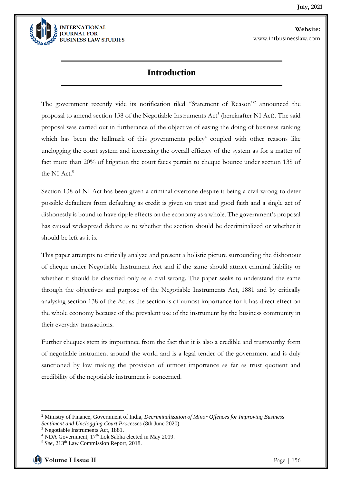

### **Introduction**

The government recently vide its notification tiled "Statement of Reason"<sup>2</sup> announced the proposal to amend section 138 of the Negotiable Instruments Act<sup>3</sup> (hereinafter NI Act). The said proposal was carried out in furtherance of the objective of easing the doing of business ranking which has been the hallmark of this governments policy<sup>4</sup> coupled with other reasons like unclogging the court system and increasing the overall efficacy of the system as for a matter of fact more than 20% of litigation the court faces pertain to cheque bounce under section 138 of the NI Act.<sup>5</sup>

Section 138 of NI Act has been given a criminal overtone despite it being a civil wrong to deter possible defaulters from defaulting as credit is given on trust and good faith and a single act of dishonestly is bound to have ripple effects on the economy as a whole. The government's proposal has caused widespread debate as to whether the section should be decriminalized or whether it should be left as it is.

This paper attempts to critically analyze and present a holistic picture surrounding the dishonour of cheque under Negotiable Instrument Act and if the same should attract criminal liability or whether it should be classified only as a civil wrong. The paper seeks to understand the same through the objectives and purpose of the Negotiable Instruments Act, 1881 and by critically analysing section 138 of the Act as the section is of utmost importance for it has direct effect on the whole economy because of the prevalent use of the instrument by the business community in their everyday transactions.

Further cheques stem its importance from the fact that it is also a credible and trustworthy form of negotiable instrument around the world and is a legal tender of the government and is duly sanctioned by law making the provision of utmost importance as far as trust quotient and credibility of the negotiable instrument is concerned.

<sup>2</sup> Ministry of Finance, Government of India, *Decriminalization of Minor Offences for Improving Business Sentiment and Unclogging Court Processes* (8th June 2020).

<sup>3</sup> Negotiable Instruments Act, 1881.

<sup>&</sup>lt;sup>4</sup> NDA Government, 17<sup>th</sup> Lok Sabha elected in May 2019.

<sup>&</sup>lt;sup>5</sup> See, 213<sup>th</sup> Law Commission Report, 2018.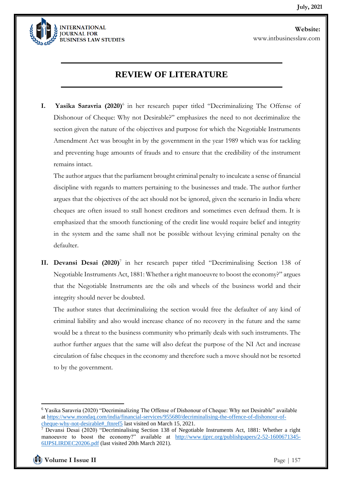

# **REVIEW OF LITERATURE**

**I.** Yasika Saravria (2020)<sup>6</sup> in her research paper titled "Decriminalizing The Offense of Dishonour of Cheque: Why not Desirable?" emphasizes the need to not decriminalize the section given the nature of the objectives and purpose for which the Negotiable Instruments Amendment Act was brought in by the government in the year 1989 which was for tackling and preventing huge amounts of frauds and to ensure that the credibility of the instrument remains intact.

The author argues that the parliament brought criminal penalty to inculcate a sense of financial discipline with regards to matters pertaining to the businesses and trade. The author further argues that the objectives of the act should not be ignored, given the scenario in India where cheques are often issued to stall honest creditors and sometimes even defraud them. It is emphasized that the smooth functioning of the credit line would require belief and integrity in the system and the same shall not be possible without levying criminal penalty on the defaulter.

II. Devansi Desai (2020)<sup>7</sup> in her research paper titled "Decriminalising Section 138 of Negotiable Instruments Act, 1881: Whether a right manoeuvre to boost the economy?" argues that the Negotiable Instruments are the oils and wheels of the business world and their integrity should never be doubted.

The author states that decriminalizing the section would free the defaulter of any kind of criminal liability and also would increase chance of no recovery in the future and the same would be a threat to the business community who primarily deals with such instruments. The author further argues that the same will also defeat the purpose of the NI Act and increase circulation of false cheques in the economy and therefore such a move should not be resorted to by the government.

<sup>6</sup> Yasika Saravria (2020) "Decriminalizing The Offense of Dishonour of Cheque: Why not Desirable" available a[t https://www.mondaq.com/india/financial-services/955680/decriminalising-the-offence-of-dishonour-of](https://www.mondaq.com/india/financial-services/955680/decriminalising-the-offence-of-dishonour-of-cheque-why-not-desirable#_ftnref5)[cheque-why-not-desirable#\\_ftnref5](https://www.mondaq.com/india/financial-services/955680/decriminalising-the-offence-of-dishonour-of-cheque-why-not-desirable#_ftnref5) last visited on March 15, 2021.

<sup>7</sup> Devansi Desai (2020) "Decriminalising Section 138 of Negotiable Instruments Act, 1881: Whether a right manoeuvre to boost the economy?" available at [http://www.tjprc.org/publishpapers/2-52-1600671345-](http://www.tjprc.org/publishpapers/2-52-1600671345-6IJPSLIRDEC20206.pdf) [6IJPSLIRDEC20206.pdf](http://www.tjprc.org/publishpapers/2-52-1600671345-6IJPSLIRDEC20206.pdf) (last visited 20th March 2021).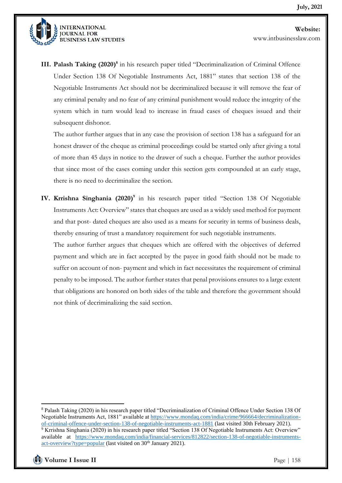

**III. Palash Taking (2020)<sup>8</sup>** in his research paper titled "Decriminalization of Criminal Offence Under Section 138 Of Negotiable Instruments Act, 1881" states that section 138 of the Negotiable Instruments Act should not be decriminalized because it will remove the fear of any criminal penalty and no fear of any criminal punishment would reduce the integrity of the system which in turn would lead to increase in fraud cases of cheques issued and their subsequent dishonor.

The author further argues that in any case the provision of section 138 has a safeguard for an honest drawer of the cheque as criminal proceedings could be started only after giving a total of more than 45 days in notice to the drawer of such a cheque. Further the author provides that since most of the cases coming under this section gets compounded at an early stage, there is no need to decriminalize the section.

**IV. Krrishna Singhania (2020)<sup>9</sup>** in his research paper titled "Section 138 Of Negotiable Instruments Act: Overview" states that cheques are used as a widely used method for payment and that post- dated cheques are also used as a means for security in terms of business deals, thereby ensuring of trust a mandatory requirement for such negotiable instruments.

The author further argues that cheques which are offered with the objectives of deferred payment and which are in fact accepted by the payee in good faith should not be made to suffer on account of non- payment and which in fact necessitates the requirement of criminal penalty to be imposed. The author further states that penal provisions ensures to a large extent that obligations are honored on both sides of the table and therefore the government should not think of decriminalizing the said section.

<sup>8</sup> Palash Taking (2020) in his research paper titled "Decriminalization of Criminal Offence Under Section 138 Of Negotiable Instruments Act, 1881" available at [https://www.mondaq.com/india/crime/966664/decriminalization](https://www.mondaq.com/india/crime/966664/decriminalization-of-criminal-offence-under-section-138-of-negotiable-instruments-act-1881)[of-criminal-offence-under-section-138-of-negotiable-instruments-act-1881](https://www.mondaq.com/india/crime/966664/decriminalization-of-criminal-offence-under-section-138-of-negotiable-instruments-act-1881) (last visited 30th February 2021). <sup>9</sup> Krrishna Singhania (2020) in his research paper titled "Section 138 Of Negotiable Instruments Act: Overview" available at [https://www.mondaq.com/india/financial-services/812822/section-138-of-negotiable-instruments](https://www.mondaq.com/india/financial-services/812822/section-138-of-negotiable-instruments-act-overview?type=popular)[act-overview?type=popular](https://www.mondaq.com/india/financial-services/812822/section-138-of-negotiable-instruments-act-overview?type=popular) (last visited on 30<sup>th</sup> January 2021).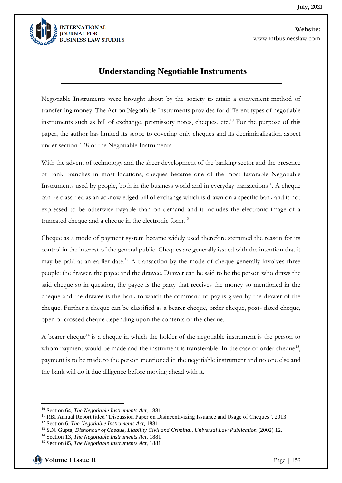

## **Understanding Negotiable Instruments**

Negotiable Instruments were brought about by the society to attain a convenient method of transferring money. The Act on Negotiable Instruments provides for different types of negotiable instruments such as bill of exchange, promissory notes, cheques, etc.<sup>10</sup> For the purpose of this paper, the author has limited its scope to covering only cheques and its decriminalization aspect under section 138 of the Negotiable Instruments.

With the advent of technology and the sheer development of the banking sector and the presence of bank branches in most locations, cheques became one of the most favorable Negotiable Instruments used by people, both in the business world and in everyday transactions $^{11}$ . A cheque can be classified as an acknowledged bill of exchange which is drawn on a specific bank and is not expressed to be otherwise payable than on demand and it includes the electronic image of a truncated cheque and a cheque in the electronic form.<sup>12</sup>

Cheque as a mode of payment system became widely used therefore stemmed the reason for its control in the interest of the general public. Cheques are generally issued with the intention that it may be paid at an earlier date.<sup>13</sup> A transaction by the mode of cheque generally involves three people: the drawer, the payee and the drawee. Drawer can be said to be the person who draws the said cheque so in question, the payee is the party that receives the money so mentioned in the cheque and the drawee is the bank to which the command to pay is given by the drawer of the cheque. Further a cheque can be classified as a bearer cheque, order cheque, post- dated cheque, open or crossed cheque depending upon the contents of the cheque.

A bearer cheque<sup>14</sup> is a cheque in which the holder of the negotiable instrument is the person to whom payment would be made and the instrument is transferable. In the case of order cheque<sup>15</sup>, payment is to be made to the person mentioned in the negotiable instrument and no one else and the bank will do it due diligence before moving ahead with it.

<sup>10</sup> Section 64, *The Negotiable Instruments Act,* 1881

<sup>&</sup>lt;sup>11</sup> RBI Annual Report titled "Discussion Paper on Disincentivizing Issuance and Usage of Cheques", 2013

<sup>12</sup> Section 6, *The Negotiable Instruments Act*, 1881

<sup>13</sup> S.N. Gupta, *Dishonour of Cheque, Liability Civil and Criminal, Universal Law Publication* (2002) 12.

<sup>14</sup> Section 13, *The Negotiable Instruments Act,* 1881

<sup>15</sup> Section 85, *The Negotiable Instruments Act,* 1881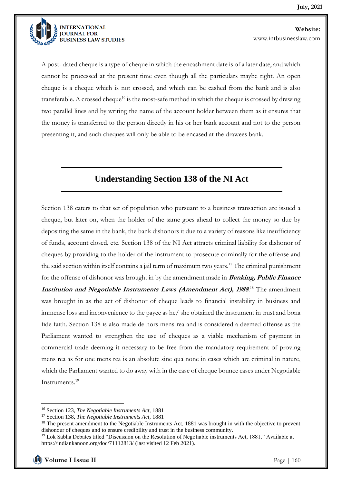

A post- dated cheque is a type of cheque in which the encashment date is of a later date, and which cannot be processed at the present time even though all the particulars maybe right. An open cheque is a cheque which is not crossed, and which can be cashed from the bank and is also transferable. A crossed cheque<sup>16</sup> is the most-safe method in which the cheque is crossed by drawing two parallel lines and by writing the name of the account holder between them as it ensures that the money is transferred to the person directly in his or her bank account and not to the person presenting it, and such cheques will only be able to be encased at the drawees bank.

# **Understanding Section 138 of the NI Act**

Section 138 caters to that set of population who pursuant to a business transaction are issued a cheque, but later on, when the holder of the same goes ahead to collect the money so due by depositing the same in the bank, the bank dishonors it due to a variety of reasons like insufficiency of funds, account closed, etc. Section 138 of the NI Act attracts criminal liability for dishonor of cheques by providing to the holder of the instrument to prosecute criminally for the offense and the said section within itself contains a jail term of maximum two years.<sup>17</sup> The criminal punishment for the offense of dishonor was brought in by the amendment made in **Banking, Public Finance**  Institution and Negotiable Instruments Laws (Amendment Act), 1988.<sup>18</sup> The amendment was brought in as the act of dishonor of cheque leads to financial instability in business and immense loss and inconvenience to the payee as he/ she obtained the instrument in trust and bona fide faith. Section 138 is also made de hors mens rea and is considered a deemed offense as the Parliament wanted to strengthen the use of cheques as a viable mechanism of payment in commercial trade deeming it necessary to be free from the mandatory requirement of proving mens rea as for one mens rea is an absolute sine qua none in cases which are criminal in nature, which the Parliament wanted to do away with in the case of cheque bounce cases under Negotiable Instruments.<sup>19</sup>

<sup>16</sup> Section 123, *The Negotiable Instruments Act,* 1881

<sup>17</sup> Section 138, *The Negotiable Instruments Act,* 1881

<sup>&</sup>lt;sup>18</sup> The present amendment to the Negotiable Instruments Act, 1881 was brought in with the objective to prevent dishonour of cheques and to ensure credibility and trust in the business community.

<sup>19</sup> Lok Sabha Debates titled "Discussion on the Resolution of Negotiable instruments Act, 1881." Available at https://indiankanoon.org/doc/71112813/ (last visited 12 Feb 2021).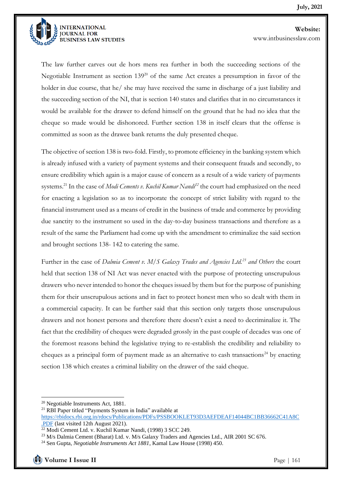

The law further carves out de hors mens rea further in both the succeeding sections of the Negotiable Instrument as section  $139^{20}$  of the same Act creates a presumption in favor of the holder in due course, that he/ she may have received the same in discharge of a just liability and the succeeding section of the NI, that is section 140 states and clarifies that in no circumstances it would be available for the drawer to defend himself on the ground that he had no idea that the cheque so made would be dishonored. Further section 138 in itself clears that the offense is committed as soon as the drawee bank returns the duly presented cheque.

The objective of section 138 is two-fold. Firstly, to promote efficiency in the banking system which is already infused with a variety of payment systems and their consequent frauds and secondly, to ensure credibility which again is a major cause of concern as a result of a wide variety of payments systems.<sup>21</sup> In the case of *Modi Cements v. Kuchil Kumar Nandi<sup>22</sup>* the court had emphasized on the need for enacting a legislation so as to incorporate the concept of strict liability with regard to the financial instrument used as a means of credit in the business of trade and commerce by providing due sanctity to the instrument so used in the day-to-day business transactions and therefore as a result of the same the Parliament had come up with the amendment to criminalize the said section and brought sections 138- 142 to catering the same.

Further in the case of *Dalmia Cement v. M/S Galaxy Trades and Agencies Ltd.<sup>23</sup> and Others* the court held that section 138 of NI Act was never enacted with the purpose of protecting unscrupulous drawers who never intended to honor the cheques issued by them but for the purpose of punishing them for their unscrupulous actions and in fact to protect honest men who so dealt with them in a commercial capacity. It can be further said that this section only targets those unscrupulous drawers and not honest persons and therefore there doesn't exist a need to decriminalize it. The fact that the credibility of cheques were degraded grossly in the past couple of decades was one of the foremost reasons behind the legislative trying to re-establish the credibility and reliability to cheques as a principal form of payment made as an alternative to cash transactions<sup>24</sup> by enacting section 138 which creates a criminal liability on the drawer of the said cheque.

<sup>20</sup> Negotiable Instruments Act, 1881.

<sup>21</sup> RBI Paper titled "Payments System in India" available at

[https://rbidocs.rbi.org.in/rdocs/Publications/PDFs/PSSBOOKLET93D3AEFDEAF14044BC1BB36662C41A8C](https://rbidocs.rbi.org.in/rdocs/Publications/PDFs/PSSBOOKLET93D3AEFDEAF14044BC1BB36662C41A8C.PDF) [.PDF](https://rbidocs.rbi.org.in/rdocs/Publications/PDFs/PSSBOOKLET93D3AEFDEAF14044BC1BB36662C41A8C.PDF) (last visited 12th August 2021).

<sup>22</sup> Modi Cement Ltd. v. Kuchil Kumar Nandi, (1998) 3 SCC 249.

<sup>&</sup>lt;sup>23</sup> M/s Dalmia Cement (Bharat) Ltd. v. M/s Galaxy Traders and Agencies Ltd., AIR 2001 SC 676.

<sup>24</sup> Sen Gupta*, Negotiable Instruments Act 1881*, Kamal Law House (1998) 450.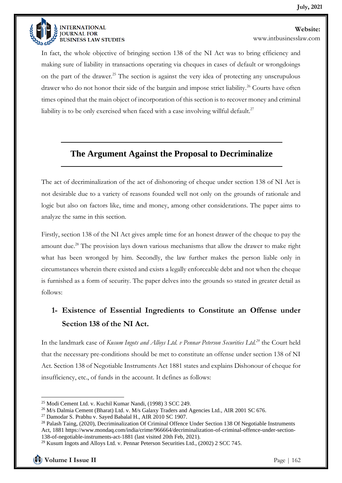

www.intbusinesslaw.com

In fact, the whole objective of bringing section 138 of the NI Act was to bring efficiency and making sure of liability in transactions operating via cheques in cases of default or wrongdoings on the part of the drawer.<sup>25</sup> The section is against the very idea of protecting any unscrupulous drawer who do not honor their side of the bargain and impose strict liability.<sup>26</sup> Courts have often times opined that the main object of incorporation of this section is to recover money and criminal liability is to be only exercised when faced with a case involving willful default.<sup>27</sup>

### **The Argument Against the Proposal to Decriminalize**

The act of decriminalization of the act of dishonoring of cheque under section 138 of NI Act is not desirable due to a variety of reasons founded well not only on the grounds of rationale and logic but also on factors like, time and money, among other considerations. The paper aims to analyze the same in this section.

Firstly, section 138 of the NI Act gives ample time for an honest drawer of the cheque to pay the amount due.<sup>28</sup> The provision lays down various mechanisms that allow the drawer to make right what has been wronged by him. Secondly, the law further makes the person liable only in circumstances wherein there existed and exists a legally enforceable debt and not when the cheque is furnished as a form of security. The paper delves into the grounds so stated in greater detail as follows:

# **1- Existence of Essential Ingredients to Constitute an Offense under Section 138 of the NI Act.**

In the landmark case of *Kusum Ingots and Alloys Ltd. v Pennar Peterson Securities Ltd.<sup>29</sup>* the Court held that the necessary pre-conditions should be met to constitute an offense under section 138 of NI Act. Section 138 of Negotiable Instruments Act 1881 states and explains Dishonour of cheque for insufficiency, etc., of funds in the account. It defines as follows:

<sup>25</sup> Modi Cement Ltd. v. Kuchil Kumar Nandi, (1998) 3 SCC 249.

<sup>&</sup>lt;sup>26</sup> M/s Dalmia Cement (Bharat) Ltd. v. M/s Galaxy Traders and Agencies Ltd., AIR 2001 SC 676.

<sup>27</sup> Damodar S. Prabhu v. Sayed Babalal H., AIR 2010 SC 1907.

<sup>&</sup>lt;sup>28</sup> Palash Taing, (2020), Decriminalization Of Criminal Offence Under Section 138 Of Negotiable Instruments Act, 1881 https://www.mondaq.com/india/crime/966664/decriminalization-of-criminal-offence-under-section-138-of-negotiable-instruments-act-1881 (last visited 20th Feb, 2021).

<sup>&</sup>lt;sup>29</sup> Kusum Ingots and Alloys Ltd. v. Pennar Peterson Securities Ltd., (2002) 2 SCC 745.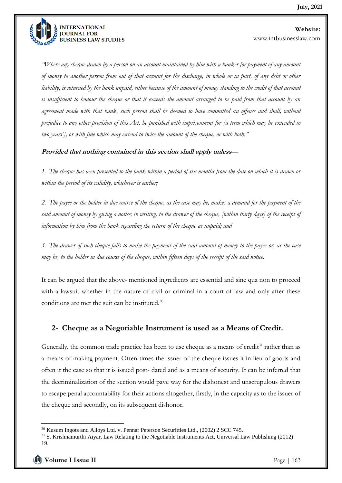

*"Where any cheque drawn by a person on an account maintained by him with a banker for payment of any amount of money to another person from out of that account for the discharge, in whole or in part, of any debt or other liability, is returned by the bank unpaid, either because of the amount of money standing to the credit of that account is insufficient to honour the cheque or that it exceeds the amount arranged to be paid from that account by an agreement made with that bank, such person shall be deemed to have committed an offence and shall, without prejudice to any other provision of this Act, be punished with imprisonment for [a term which may be extended to two years'], or with fine which may extend to twice the amount of the cheque, or with both."*

**Provided that nothing contained in this section shall apply unless***—*

*1."The cheque has been presented to the bank within a period of six months from the date on which it is drawn or within the period of its validity, whichever is earlier;"*

*2."The payee or the holder in due course of the cheque, as the case may be, makes a demand for the payment of the said amount of money by giving a notice; in writing, to the drawer of the cheque, [within thirty days] of the receipt of information by him from the bank regarding the return of the cheque as unpaid; and"*

*3."The drawer of such cheque fails to make the payment of the said amount of money to the payee or, as the case may be, to the holder in due course of the cheque, within fifteen days of the receipt of the said notice.* 

It can be argued that the above- mentioned ingredients are essential and sine qua non to proceed with a lawsuit whether in the nature of civil or criminal in a court of law and only after these conditions are met the suit can be instituted.<sup>30</sup>

#### **2- Cheque as a Negotiable Instrument is used as a Means of Credit.**

Generally, the common trade practice has been to use cheque as a means of credit $31$  rather than as a means of making payment. Often times the issuer of the cheque issues it in lieu of goods and often it the case so that it is issued post- dated and as a means of security. It can be inferred that the decriminalization of the section would pave way for the dishonest and unscrupulous drawers to escape penal accountability for their actions altogether, firstly, in the capacity as to the issuer of the cheque and secondly, on its subsequent dishonor.

<sup>&</sup>lt;sup>30</sup> Kusum Ingots and Alloys Ltd. v. Pennar Peterson Securitties Ltd., (2002) 2 SCC 745.

<sup>31</sup> S. Krishnamurthi Aiyar, Law Relating to the Negotiable Instruments Act, Universal Law Publishing (2012) 19.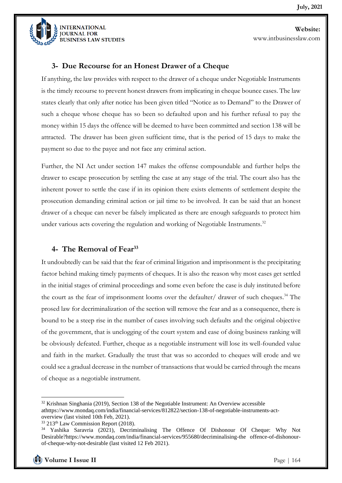

#### **3- Due Recourse for an Honest Drawer of a Cheque**

If anything, the law provides with respect to the drawer of a cheque under Negotiable Instruments is the timely recourse to prevent honest drawers from implicating in cheque bounce cases. The law states clearly that only after notice has been given titled "Notice as to Demand" to the Drawer of such a cheque whose cheque has so been so defaulted upon and his further refusal to pay the money within 15 days the offence will be deemed to have been committed and section 138 will be attracted. The drawer has been given sufficient time, that is the period of 15 days to make the payment so due to the payee and not face any criminal action.

Further, the NI Act under section 147 makes the offense compoundable and further helps the drawer to escape prosecution by settling the case at any stage of the trial. The court also has the inherent power to settle the case if in its opinion there exists elements of settlement despite the prosecution demanding criminal action or jail time to be involved. It can be said that an honest drawer of a cheque can never be falsely implicated as there are enough safeguards to protect him under various acts covering the regulation and working of Negotiable Instruments.<sup>32</sup>

#### **4- The Removal of Fear<sup>33</sup>**

It undoubtedly can be said that the fear of criminal litigation and imprisonment is the precipitating factor behind making timely payments of cheques. It is also the reason why most cases get settled in the initial stages of criminal proceedings and some even before the case is duly instituted before the court as the fear of imprisonment looms over the defaulter/ drawer of such cheques.<sup>34</sup> The prosed law for decriminalization of the section will remove the fear and as a consequence, there is bound to be a steep rise in the number of cases involving such defaults and the original objective of the government, that is unclogging of the court system and ease of doing business ranking will be obviously defeated. Further, cheque as a negotiable instrument will lose its well-founded value and faith in the market. Gradually the trust that was so accorded to cheques will erode and we could see a gradual decrease in the number of transactions that would be carried through the means of cheque as a negotiable instrument.

<sup>&</sup>lt;sup>32</sup> Krishnan Singhania (2019), Section 138 of the Negotiable Instrument: An Overview accessible athttps://www.mondaq.com/india/financial-services/812822/section-138-of-negotiable-instruments-actoverview (last visited 10th Feb, 2021).

<sup>&</sup>lt;sup>33</sup> 213<sup>th</sup> Law Commission Report (2018).

<sup>34</sup> Yashika Saravria (2021), Decriminalising The Offence Of Dishonour Of Cheque: Why Not Desirable?https://www.mondaq.com/india/financial-services/955680/decriminalising-the offence-of-dishonourof-cheque-why-not-desirable (last visited 12 Feb 2021).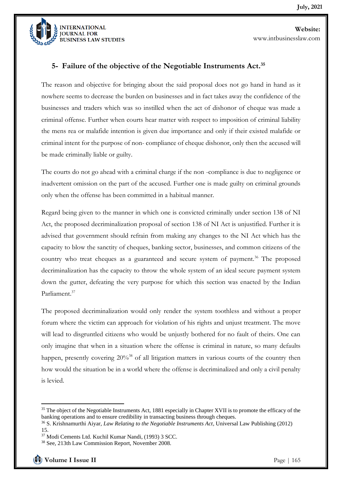

#### **5- Failure of the objective of the Negotiable Instruments Act.<sup>35</sup>**

The reason and objective for bringing about the said proposal does not go hand in hand as it nowhere seems to decrease the burden on businesses and in fact takes away the confidence of the businesses and traders which was so instilled when the act of dishonor of cheque was made a criminal offense. Further when courts hear matter with respect to imposition of criminal liability the mens rea or malafide intention is given due importance and only if their existed malafide or criminal intent for the purpose of non- compliance of cheque dishonor, only then the accused will be made criminally liable or guilty.

The courts do not go ahead with a criminal charge if the non -compliance is due to negligence or inadvertent omission on the part of the accused. Further one is made guilty on criminal grounds only when the offense has been committed in a habitual manner.

Regard being given to the manner in which one is convicted criminally under section 138 of NI Act, the proposed decriminalization proposal of section 138 of NI Act is unjustified. Further it is advised that government should refrain from making any changes to the NI Act which has the capacity to blow the sanctity of cheques, banking sector, businesses, and common citizens of the country who treat cheques as a guaranteed and secure system of payment.<sup>36</sup> The proposed decriminalization has the capacity to throw the whole system of an ideal secure payment system down the gutter, defeating the very purpose for which this section was enacted by the Indian Parliament.<sup>37</sup>

The proposed decriminalization would only render the system toothless and without a proper forum where the victim can approach for violation of his rights and unjust treatment. The move will lead to disgruntled citizens who would be unjustly bothered for no fault of theirs. One can only imagine that when in a situation where the offense is criminal in nature, so many defaults happen, presently covering  $20\%$ <sup>38</sup> of all litigation matters in various courts of the country then how would the situation be in a world where the offense is decriminalized and only a civil penalty is levied.

<sup>&</sup>lt;sup>35</sup> The object of the Negotiable Instruments Act, 1881 especially in Chapter XVII is to promote the efficacy of the banking operations and to ensure credibility in transacting business through cheques.

<sup>36</sup> S. Krishnamurthi Aiyar, *Law Relating to the Negotiable Instruments Act*, Universal Law Publishing (2012) 15.

<sup>37</sup> Modi Cements Ltd. Kuchil Kumar Nandi, (1993) 3 SCC.

<sup>38</sup> See, 213th Law Commission Report, November 2008.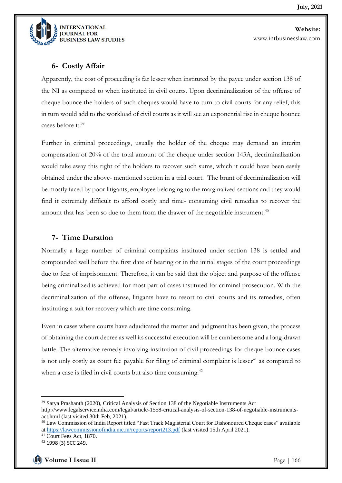

**Website:**  www.intbusinesslaw.com

#### **6- Costly Affair**

Apparently, the cost of proceeding is far lesser when instituted by the payee under section 138 of the NI as compared to when instituted in civil courts. Upon decriminalization of the offense of cheque bounce the holders of such cheques would have to turn to civil courts for any relief, this in turn would add to the workload of civil courts as it will see an exponential rise in cheque bounce cases before it.<sup>39</sup>

Further in criminal proceedings, usually the holder of the cheque may demand an interim compensation of 20% of the total amount of the cheque under section 143A, decriminalization would take away this right of the holders to recover such sums, which it could have been easily obtained under the above- mentioned section in a trial court. The brunt of decriminalization will be mostly faced by poor litigants, employee belonging to the marginalized sections and they would find it extremely difficult to afford costly and time- consuming civil remedies to recover the amount that has been so due to them from the drawer of the negotiable instrument.<sup>40</sup>

#### **7- Time Duration**

Normally a large number of criminal complaints instituted under section 138 is settled and compounded well before the first date of hearing or in the initial stages of the court proceedings due to fear of imprisonment. Therefore, it can be said that the object and purpose of the offense being criminalized is achieved for most part of cases instituted for criminal prosecution. With the decriminalization of the offense, litigants have to resort to civil courts and its remedies, often instituting a suit for recovery which are time consuming.

Even in cases where courts have adjudicated the matter and judgment has been given, the process of obtaining the court decree as well its successful execution will be cumbersome and a long-drawn battle. The alternative remedy involving institution of civil proceedings for cheque bounce cases is not only costly as court fee payable for filing of criminal complaint is lesser<sup>41</sup> as compared to when a case is filed in civil courts but also time consuming.<sup>42</sup>

<sup>39</sup> Satya Prashanth (2020), Critical Analysis of Section 138 of the Negotiable Instruments Act

http://www.legalserviceindia.com/legal/article-1558-critical-analysis-of-section-138-of-negotiable-instrumentsact.html (last visited 30th Feb, 2021).

<sup>40</sup> Law Commission of India Report titled "Fast Track Magisterial Court for Dishonoured Cheque cases" available a[t https://lawcommissionofindia.nic.in/reports/report213.pdf](https://lawcommissionofindia.nic.in/reports/report213.pdf) (last visited 15th April 2021).

<sup>41</sup> Court Fees Act, 1870.

<sup>42</sup> 1998 (3) SCC 249.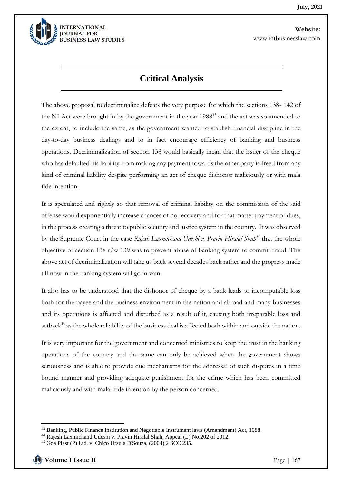

# **Critical Analysis**

The above proposal to decriminalize defeats the very purpose for which the sections 138- 142 of the NI Act were brought in by the government in the year 1988<sup>43</sup> and the act was so amended to the extent, to include the same, as the government wanted to stablish financial discipline in the day-to-day business dealings and to in fact encourage efficiency of banking and business operations. Decriminalization of section 138 would basically mean that the issuer of the cheque who has defaulted his liability from making any payment towards the other party is freed from any kind of criminal liability despite performing an act of cheque dishonor maliciously or with mala fide intention.

It is speculated and rightly so that removal of criminal liability on the commission of the said offense would exponentially increase chances of no recovery and for that matter payment of dues, in the process creating a threat to public security and justice system in the country. It was observed by the Supreme Court in the case *Rajesh Laxmichand Udeshi v. Pravin Hiralal Shah<sup>44</sup>* that the whole objective of section 138 r/w 139 was to prevent abuse of banking system to commit fraud. The above act of decriminalization will take us back several decades back rather and the progress made till now in the banking system will go in vain.

It also has to be understood that the dishonor of cheque by a bank leads to incomputable loss both for the payee and the business environment in the nation and abroad and many businesses and its operations is affected and disturbed as a result of it, causing both irreparable loss and setback<sup>45</sup> as the whole reliability of the business deal is affected both within and outside the nation.

It is very important for the government and concerned ministries to keep the trust in the banking operations of the country and the same can only be achieved when the government shows seriousness and is able to provide due mechanisms for the addressal of such disputes in a time bound manner and providing adequate punishment for the crime which has been committed maliciously and with mala- fide intention by the person concerned.

<sup>43</sup> Banking, Public Finance Institution and Negotiable Instrument laws (Amendment) Act, 1988.

<sup>44</sup> Rajesh Laxmichand Udeshi v. Pravin Hiralal Shah, Appeal (L) No.202 of 2012.

<sup>45</sup> Goa Plast (P) Ltd. v. Chico Ursula D'Souza, (2004) 2 SCC 235.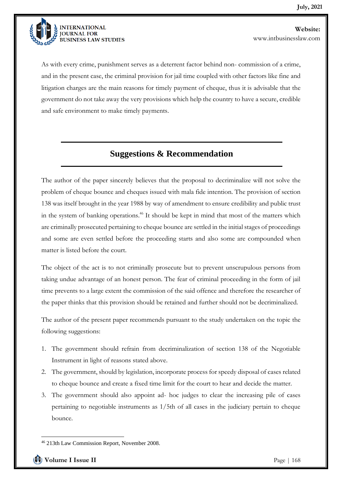

As with every crime, punishment serves as a deterrent factor behind non- commission of a crime, and in the present case, the criminal provision for jail time coupled with other factors like fine and litigation charges are the main reasons for timely payment of cheque, thus it is advisable that the government do not take away the very provisions which help the country to have a secure, credible and safe environment to make timely payments.

## **Suggestions & Recommendation**

The author of the paper sincerely believes that the proposal to decriminalize will not solve the problem of cheque bounce and cheques issued with mala fide intention. The provision of section 138 was itself brought in the year 1988 by way of amendment to ensure credibility and public trust in the system of banking operations.<sup>46</sup> It should be kept in mind that most of the matters which are criminally prosecuted pertaining to cheque bounce are settled in the initial stages of proceedings and some are even settled before the proceeding starts and also some are compounded when matter is listed before the court.

The object of the act is to not criminally prosecute but to prevent unscrupulous persons from taking undue advantage of an honest person. The fear of criminal proceeding in the form of jail time prevents to a large extent the commission of the said offence and therefore the researcher of the paper thinks that this provision should be retained and further should not be decriminalized.

The author of the present paper recommends pursuant to the study undertaken on the topic the following suggestions:

- 1. The government should refrain from decriminalization of section 138 of the Negotiable Instrument in light of reasons stated above.
- 2. The government, should by legislation, incorporate process for speedy disposal of cases related to cheque bounce and create a fixed time limit for the court to hear and decide the matter.
- 3. The government should also appoint ad- hoc judges to clear the increasing pile of cases pertaining to negotiable instruments as 1/5th of all cases in the judiciary pertain to cheque bounce.

<sup>46</sup> 213th Law Commission Report, November 2008.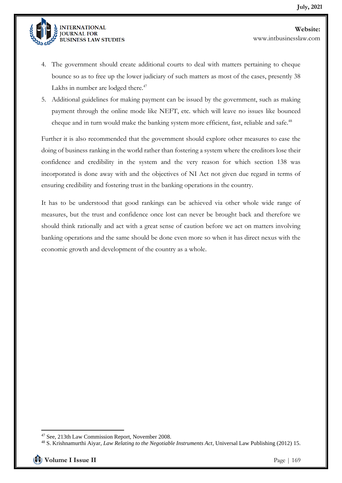

4. The government should create additional courts to deal with matters pertaining to cheque bounce so as to free up the lower judiciary of such matters as most of the cases, presently 38 Lakhs in number are lodged there. $47$ 

5. Additional guidelines for making payment can be issued by the government, such as making payment through the online mode like NEFT, etc. which will leave no issues like bounced cheque and in turn would make the banking system more efficient, fast, reliable and safe.<sup>48</sup>

Further it is also recommended that the government should explore other measures to ease the doing of business ranking in the world rather than fostering a system where the creditors lose their confidence and credibility in the system and the very reason for which section 138 was incorporated is done away with and the objectives of NI Act not given due regard in terms of ensuring credibility and fostering trust in the banking operations in the country.

It has to be understood that good rankings can be achieved via other whole wide range of measures, but the trust and confidence once lost can never be brought back and therefore we should think rationally and act with a great sense of caution before we act on matters involving banking operations and the same should be done even more so when it has direct nexus with the economic growth and development of the country as a whole.

<sup>47</sup> See, 213th Law Commission Report, November 2008.

<sup>48</sup> S. Krishnamurthi Aiyar, *Law Relating to the Negotiable Instruments Act*, Universal Law Publishing (2012) 15.